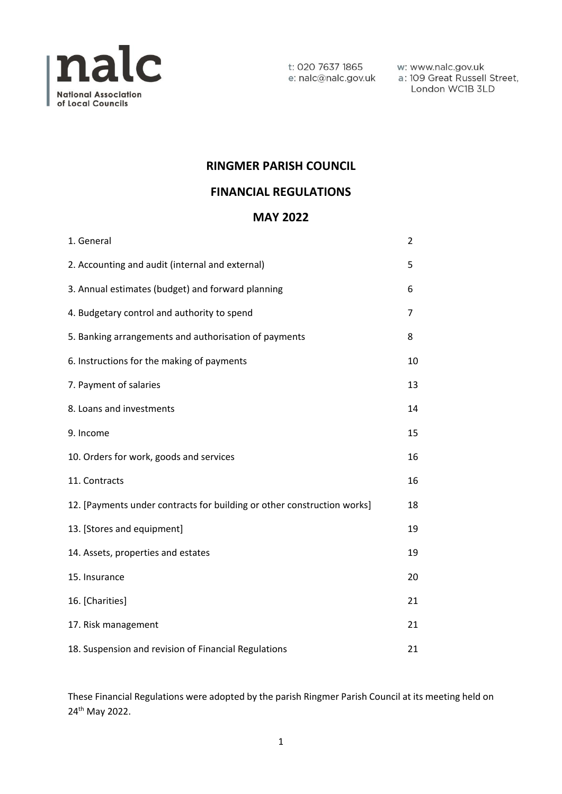

t: 020 7637 1865 e: nalc@nalc.gov.uk w: www.nalc.gov.uk a: 109 Great Russell Street, London WC1B 3LD

### **RINGMER PARISH COUNCIL**

### **FINANCIAL REGULATIONS**

### **MAY 2022**

| 1. General                                                              | $\overline{2}$ |
|-------------------------------------------------------------------------|----------------|
| 2. Accounting and audit (internal and external)                         | 5              |
| 3. Annual estimates (budget) and forward planning                       | 6              |
| 4. Budgetary control and authority to spend                             | 7              |
| 5. Banking arrangements and authorisation of payments                   | 8              |
| 6. Instructions for the making of payments                              | 10             |
| 7. Payment of salaries                                                  | 13             |
| 8. Loans and investments                                                | 14             |
| 9. Income                                                               | 15             |
| 10. Orders for work, goods and services                                 | 16             |
| 11. Contracts                                                           | 16             |
| 12. [Payments under contracts for building or other construction works] | 18             |
| 13. [Stores and equipment]                                              | 19             |
| 14. Assets, properties and estates                                      | 19             |
| 15. Insurance                                                           | 20             |
| 16. [Charities]                                                         | 21             |
| 17. Risk management                                                     | 21             |
| 18. Suspension and revision of Financial Regulations                    | 21             |

These Financial Regulations were adopted by the parish Ringmer Parish Council at its meeting held on 24th May 2022.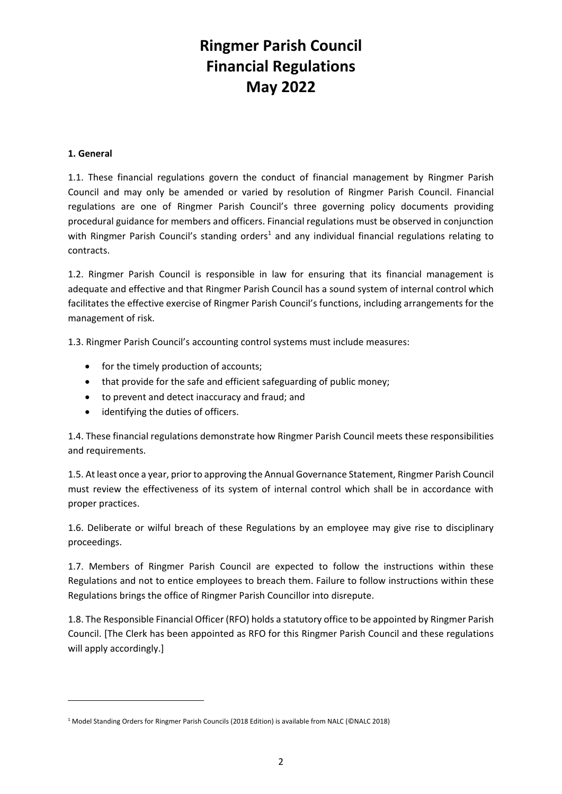#### **1. General**

1.1. These financial regulations govern the conduct of financial management by Ringmer Parish Council and may only be amended or varied by resolution of Ringmer Parish Council. Financial regulations are one of Ringmer Parish Council's three governing policy documents providing procedural guidance for members and officers. Financial regulations must be observed in conjunction with Ringmer Parish Council's standing orders<sup>1</sup> and any individual financial regulations relating to contracts.

1.2. Ringmer Parish Council is responsible in law for ensuring that its financial management is adequate and effective and that Ringmer Parish Council has a sound system of internal control which facilitates the effective exercise of Ringmer Parish Council's functions, including arrangements for the management of risk.

1.3. Ringmer Parish Council's accounting control systems must include measures:

- for the timely production of accounts;
- that provide for the safe and efficient safeguarding of public money;
- to prevent and detect inaccuracy and fraud; and
- identifying the duties of officers.

1.4. These financial regulations demonstrate how Ringmer Parish Council meets these responsibilities and requirements.

1.5. At least once a year, prior to approving the Annual Governance Statement, Ringmer Parish Council must review the effectiveness of its system of internal control which shall be in accordance with proper practices.

1.6. Deliberate or wilful breach of these Regulations by an employee may give rise to disciplinary proceedings.

1.7. Members of Ringmer Parish Council are expected to follow the instructions within these Regulations and not to entice employees to breach them. Failure to follow instructions within these Regulations brings the office of Ringmer Parish Councillor into disrepute.

1.8. The Responsible Financial Officer (RFO) holds a statutory office to be appointed by Ringmer Parish Council. [The Clerk has been appointed as RFO for this Ringmer Parish Council and these regulations will apply accordingly.]

<sup>1</sup> Model Standing Orders for Ringmer Parish Councils (2018 Edition) is available from NALC (©NALC 2018)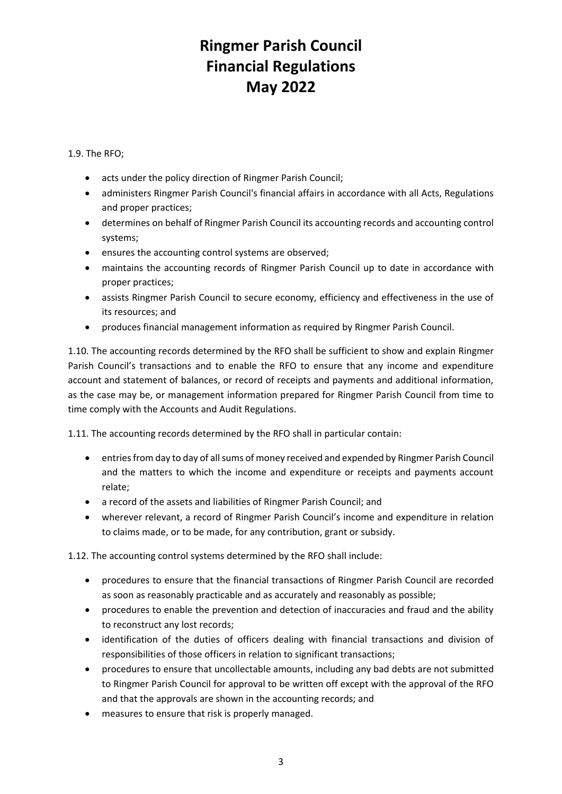1.9. The RFO;

- acts under the policy direction of Ringmer Parish Council;
- administers Ringmer Parish Council's financial affairs in accordance with all Acts, Regulations and proper practices;
- determines on behalf of Ringmer Parish Council its accounting records and accounting control systems;
- ensures the accounting control systems are observed;
- maintains the accounting records of Ringmer Parish Council up to date in accordance with proper practices;
- assists Ringmer Parish Council to secure economy, efficiency and effectiveness in the use of its resources; and
- produces financial management information as required by Ringmer Parish Council.

1.10. The accounting records determined by the RFO shall be sufficient to show and explain Ringmer Parish Council's transactions and to enable the RFO to ensure that any income and expenditure account and statement of balances, or record of receipts and payments and additional information, as the case may be, or management information prepared for Ringmer Parish Council from time to time comply with the Accounts and Audit Regulations.

1.11. The accounting records determined by the RFO shall in particular contain:

- entries from day to day of all sums of money received and expended by Ringmer Parish Council and the matters to which the income and expenditure or receipts and payments account relate;
- a record of the assets and liabilities of Ringmer Parish Council; and
- wherever relevant, a record of Ringmer Parish Council's income and expenditure in relation to claims made, or to be made, for any contribution, grant or subsidy.

1.12. The accounting control systems determined by the RFO shall include:

- procedures to ensure that the financial transactions of Ringmer Parish Council are recorded as soon as reasonably practicable and as accurately and reasonably as possible;
- procedures to enable the prevention and detection of inaccuracies and fraud and the ability to reconstruct any lost records;
- identification of the duties of officers dealing with financial transactions and division of responsibilities of those officers in relation to significant transactions;
- procedures to ensure that uncollectable amounts, including any bad debts are not submitted to Ringmer Parish Council for approval to be written off except with the approval of the RFO and that the approvals are shown in the accounting records; and
- measures to ensure that risk is properly managed.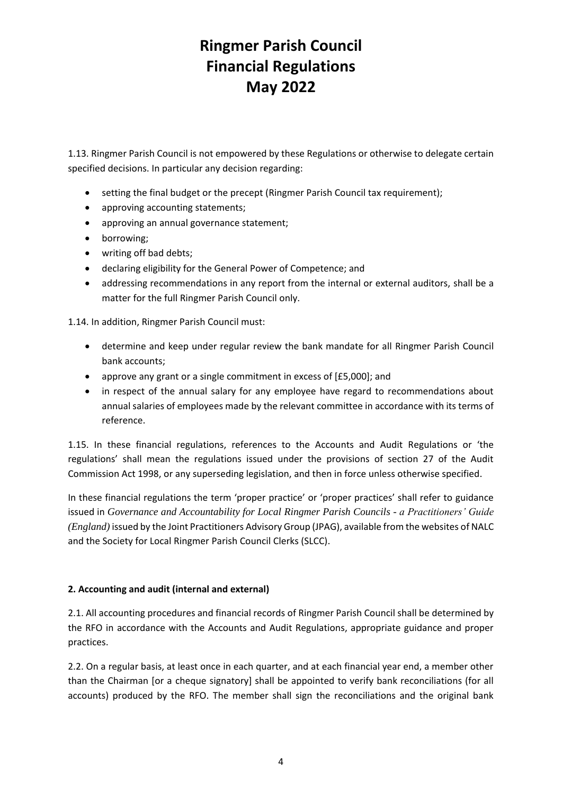1.13. Ringmer Parish Council is not empowered by these Regulations or otherwise to delegate certain specified decisions. In particular any decision regarding:

- setting the final budget or the precept (Ringmer Parish Council tax requirement);
- approving accounting statements;
- approving an annual governance statement;
- borrowing;
- writing off bad debts;
- declaring eligibility for the General Power of Competence; and
- addressing recommendations in any report from the internal or external auditors, shall be a matter for the full Ringmer Parish Council only.

1.14. In addition, Ringmer Parish Council must:

- determine and keep under regular review the bank mandate for all Ringmer Parish Council bank accounts;
- approve any grant or a single commitment in excess of [£5,000]; and
- in respect of the annual salary for any employee have regard to recommendations about annual salaries of employees made by the relevant committee in accordance with its terms of reference.

1.15. In these financial regulations, references to the Accounts and Audit Regulations or 'the regulations' shall mean the regulations issued under the provisions of section 27 of the Audit Commission Act 1998, or any superseding legislation, and then in force unless otherwise specified.

In these financial regulations the term 'proper practice' or 'proper practices' shall refer to guidance issued in *Governance and Accountability for Local Ringmer Parish Councils - a Practitioners' Guide (England)* issued by the Joint Practitioners Advisory Group (JPAG), available from the websites of NALC and the Society for Local Ringmer Parish Council Clerks (SLCC).

#### **2. Accounting and audit (internal and external)**

2.1. All accounting procedures and financial records of Ringmer Parish Council shall be determined by the RFO in accordance with the Accounts and Audit Regulations, appropriate guidance and proper practices.

2.2. On a regular basis, at least once in each quarter, and at each financial year end, a member other than the Chairman [or a cheque signatory] shall be appointed to verify bank reconciliations (for all accounts) produced by the RFO. The member shall sign the reconciliations and the original bank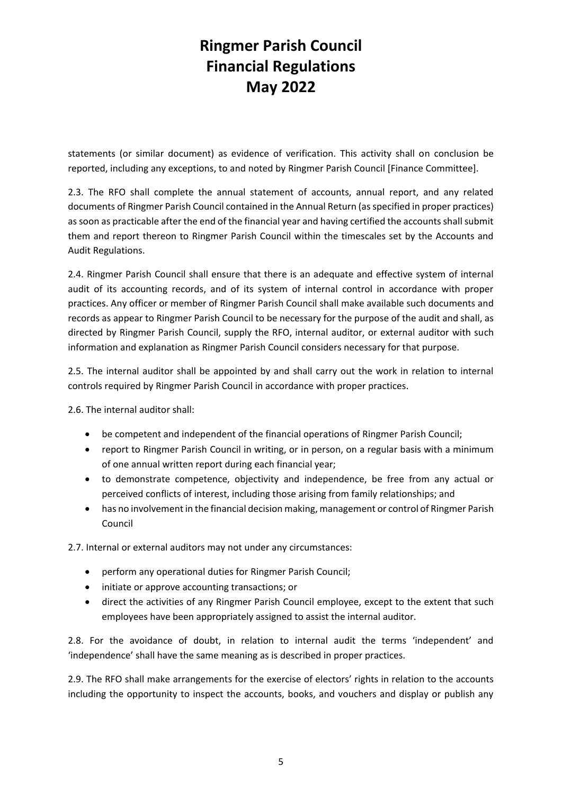statements (or similar document) as evidence of verification. This activity shall on conclusion be reported, including any exceptions, to and noted by Ringmer Parish Council [Finance Committee].

2.3. The RFO shall complete the annual statement of accounts, annual report, and any related documents of Ringmer Parish Council contained in the Annual Return (as specified in proper practices) as soon as practicable after the end of the financial year and having certified the accounts shall submit them and report thereon to Ringmer Parish Council within the timescales set by the Accounts and Audit Regulations.

2.4. Ringmer Parish Council shall ensure that there is an adequate and effective system of internal audit of its accounting records, and of its system of internal control in accordance with proper practices. Any officer or member of Ringmer Parish Council shall make available such documents and records as appear to Ringmer Parish Council to be necessary for the purpose of the audit and shall, as directed by Ringmer Parish Council, supply the RFO, internal auditor, or external auditor with such information and explanation as Ringmer Parish Council considers necessary for that purpose.

2.5. The internal auditor shall be appointed by and shall carry out the work in relation to internal controls required by Ringmer Parish Council in accordance with proper practices.

2.6. The internal auditor shall:

- be competent and independent of the financial operations of Ringmer Parish Council;
- report to Ringmer Parish Council in writing, or in person, on a regular basis with a minimum of one annual written report during each financial year;
- to demonstrate competence, objectivity and independence, be free from any actual or perceived conflicts of interest, including those arising from family relationships; and
- has no involvement in the financial decision making, management or control of Ringmer Parish Council

2.7. Internal or external auditors may not under any circumstances:

- perform any operational duties for Ringmer Parish Council;
- initiate or approve accounting transactions; or
- direct the activities of any Ringmer Parish Council employee, except to the extent that such employees have been appropriately assigned to assist the internal auditor.

2.8. For the avoidance of doubt, in relation to internal audit the terms 'independent' and 'independence' shall have the same meaning as is described in proper practices.

2.9. The RFO shall make arrangements for the exercise of electors' rights in relation to the accounts including the opportunity to inspect the accounts, books, and vouchers and display or publish any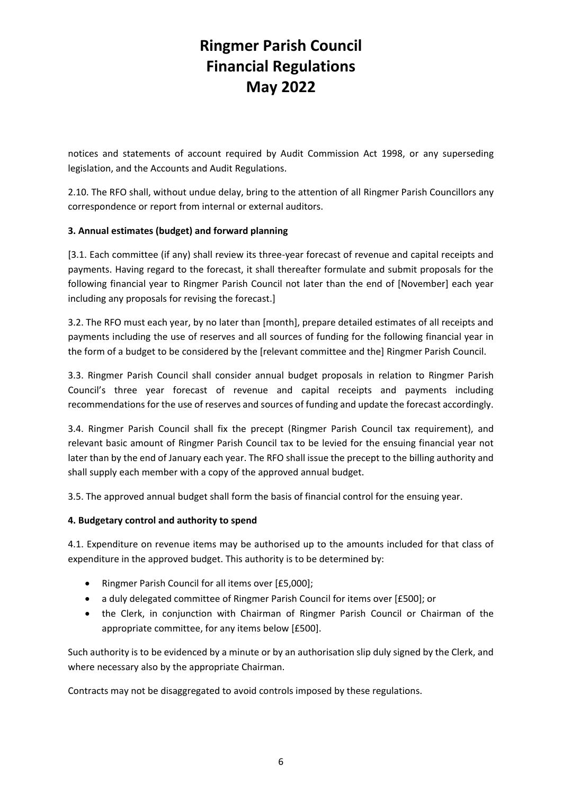notices and statements of account required by Audit Commission Act 1998, or any superseding legislation, and the Accounts and Audit Regulations.

2.10. The RFO shall, without undue delay, bring to the attention of all Ringmer Parish Councillors any correspondence or report from internal or external auditors.

#### **3. Annual estimates (budget) and forward planning**

[3.1. Each committee (if any) shall review its three-year forecast of revenue and capital receipts and payments. Having regard to the forecast, it shall thereafter formulate and submit proposals for the following financial year to Ringmer Parish Council not later than the end of [November] each year including any proposals for revising the forecast.]

3.2. The RFO must each year, by no later than [month], prepare detailed estimates of all receipts and payments including the use of reserves and all sources of funding for the following financial year in the form of a budget to be considered by the [relevant committee and the] Ringmer Parish Council.

3.3. Ringmer Parish Council shall consider annual budget proposals in relation to Ringmer Parish Council's three year forecast of revenue and capital receipts and payments including recommendations for the use of reserves and sources of funding and update the forecast accordingly.

3.4. Ringmer Parish Council shall fix the precept (Ringmer Parish Council tax requirement), and relevant basic amount of Ringmer Parish Council tax to be levied for the ensuing financial year not later than by the end of January each year. The RFO shall issue the precept to the billing authority and shall supply each member with a copy of the approved annual budget.

3.5. The approved annual budget shall form the basis of financial control for the ensuing year.

#### **4. Budgetary control and authority to spend**

4.1. Expenditure on revenue items may be authorised up to the amounts included for that class of expenditure in the approved budget. This authority is to be determined by:

- Ringmer Parish Council for all items over [£5,000];
- a duly delegated committee of Ringmer Parish Council for items over [£500]; or
- the Clerk, in conjunction with Chairman of Ringmer Parish Council or Chairman of the appropriate committee, for any items below [£500].

Such authority is to be evidenced by a minute or by an authorisation slip duly signed by the Clerk, and where necessary also by the appropriate Chairman.

Contracts may not be disaggregated to avoid controls imposed by these regulations.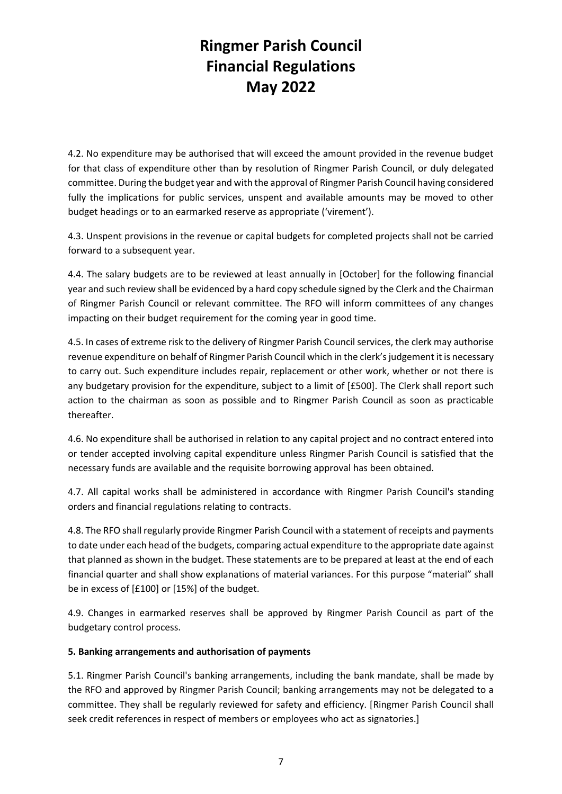4.2. No expenditure may be authorised that will exceed the amount provided in the revenue budget for that class of expenditure other than by resolution of Ringmer Parish Council, or duly delegated committee. During the budget year and with the approval of Ringmer Parish Council having considered fully the implications for public services, unspent and available amounts may be moved to other budget headings or to an earmarked reserve as appropriate ('virement').

4.3. Unspent provisions in the revenue or capital budgets for completed projects shall not be carried forward to a subsequent year.

4.4. The salary budgets are to be reviewed at least annually in [October] for the following financial year and such review shall be evidenced by a hard copy schedule signed by the Clerk and the Chairman of Ringmer Parish Council or relevant committee. The RFO will inform committees of any changes impacting on their budget requirement for the coming year in good time.

4.5. In cases of extreme risk to the delivery of Ringmer Parish Council services, the clerk may authorise revenue expenditure on behalf of Ringmer Parish Council which in the clerk's judgement it is necessary to carry out. Such expenditure includes repair, replacement or other work, whether or not there is any budgetary provision for the expenditure, subject to a limit of [£500]. The Clerk shall report such action to the chairman as soon as possible and to Ringmer Parish Council as soon as practicable thereafter.

4.6. No expenditure shall be authorised in relation to any capital project and no contract entered into or tender accepted involving capital expenditure unless Ringmer Parish Council is satisfied that the necessary funds are available and the requisite borrowing approval has been obtained.

4.7. All capital works shall be administered in accordance with Ringmer Parish Council's standing orders and financial regulations relating to contracts.

4.8. The RFO shall regularly provide Ringmer Parish Council with a statement of receipts and payments to date under each head of the budgets, comparing actual expenditure to the appropriate date against that planned as shown in the budget. These statements are to be prepared at least at the end of each financial quarter and shall show explanations of material variances. For this purpose "material" shall be in excess of [£100] or [15%] of the budget.

4.9. Changes in earmarked reserves shall be approved by Ringmer Parish Council as part of the budgetary control process.

#### **5. Banking arrangements and authorisation of payments**

5.1. Ringmer Parish Council's banking arrangements, including the bank mandate, shall be made by the RFO and approved by Ringmer Parish Council; banking arrangements may not be delegated to a committee. They shall be regularly reviewed for safety and efficiency. [Ringmer Parish Council shall seek credit references in respect of members or employees who act as signatories.]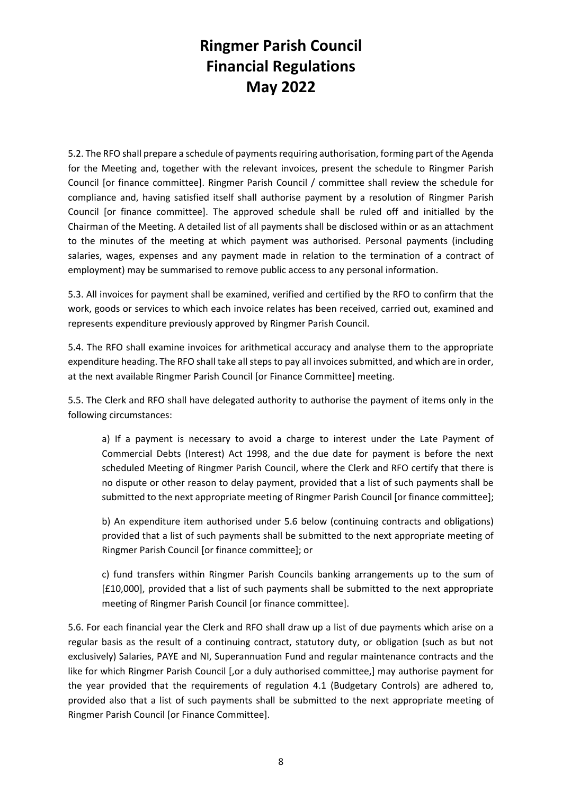5.2. The RFO shall prepare a schedule of payments requiring authorisation, forming part of the Agenda for the Meeting and, together with the relevant invoices, present the schedule to Ringmer Parish Council [or finance committee]. Ringmer Parish Council / committee shall review the schedule for compliance and, having satisfied itself shall authorise payment by a resolution of Ringmer Parish Council [or finance committee]. The approved schedule shall be ruled off and initialled by the Chairman of the Meeting. A detailed list of all payments shall be disclosed within or as an attachment to the minutes of the meeting at which payment was authorised. Personal payments (including salaries, wages, expenses and any payment made in relation to the termination of a contract of employment) may be summarised to remove public access to any personal information.

5.3. All invoices for payment shall be examined, verified and certified by the RFO to confirm that the work, goods or services to which each invoice relates has been received, carried out, examined and represents expenditure previously approved by Ringmer Parish Council.

5.4. The RFO shall examine invoices for arithmetical accuracy and analyse them to the appropriate expenditure heading. The RFO shall take all steps to pay all invoices submitted, and which are in order, at the next available Ringmer Parish Council [or Finance Committee] meeting.

5.5. The Clerk and RFO shall have delegated authority to authorise the payment of items only in the following circumstances:

a) If a payment is necessary to avoid a charge to interest under the Late Payment of Commercial Debts (Interest) Act 1998, and the due date for payment is before the next scheduled Meeting of Ringmer Parish Council, where the Clerk and RFO certify that there is no dispute or other reason to delay payment, provided that a list of such payments shall be submitted to the next appropriate meeting of Ringmer Parish Council [or finance committee];

b) An expenditure item authorised under 5.6 below (continuing contracts and obligations) provided that a list of such payments shall be submitted to the next appropriate meeting of Ringmer Parish Council [or finance committee]; or

c) fund transfers within Ringmer Parish Councils banking arrangements up to the sum of [£10,000], provided that a list of such payments shall be submitted to the next appropriate meeting of Ringmer Parish Council [or finance committee].

5.6. For each financial year the Clerk and RFO shall draw up a list of due payments which arise on a regular basis as the result of a continuing contract, statutory duty, or obligation (such as but not exclusively) Salaries, PAYE and NI, Superannuation Fund and regular maintenance contracts and the like for which Ringmer Parish Council [,or a duly authorised committee,] may authorise payment for the year provided that the requirements of regulation 4.1 (Budgetary Controls) are adhered to, provided also that a list of such payments shall be submitted to the next appropriate meeting of Ringmer Parish Council [or Finance Committee].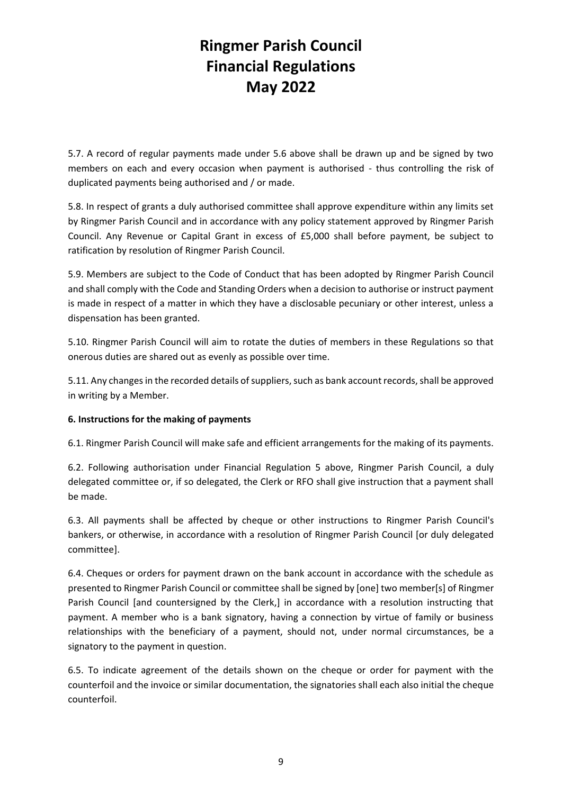5.7. A record of regular payments made under 5.6 above shall be drawn up and be signed by two members on each and every occasion when payment is authorised - thus controlling the risk of duplicated payments being authorised and / or made.

5.8. In respect of grants a duly authorised committee shall approve expenditure within any limits set by Ringmer Parish Council and in accordance with any policy statement approved by Ringmer Parish Council. Any Revenue or Capital Grant in excess of £5,000 shall before payment, be subject to ratification by resolution of Ringmer Parish Council.

5.9. Members are subject to the Code of Conduct that has been adopted by Ringmer Parish Council and shall comply with the Code and Standing Orders when a decision to authorise or instruct payment is made in respect of a matter in which they have a disclosable pecuniary or other interest, unless a dispensation has been granted.

5.10. Ringmer Parish Council will aim to rotate the duties of members in these Regulations so that onerous duties are shared out as evenly as possible over time.

5.11. Any changes in the recorded details of suppliers, such as bank account records, shall be approved in writing by a Member.

#### **6. Instructions for the making of payments**

6.1. Ringmer Parish Council will make safe and efficient arrangements for the making of its payments.

6.2. Following authorisation under Financial Regulation 5 above, Ringmer Parish Council, a duly delegated committee or, if so delegated, the Clerk or RFO shall give instruction that a payment shall be made.

6.3. All payments shall be affected by cheque or other instructions to Ringmer Parish Council's bankers, or otherwise, in accordance with a resolution of Ringmer Parish Council [or duly delegated committee].

6.4. Cheques or orders for payment drawn on the bank account in accordance with the schedule as presented to Ringmer Parish Council or committee shall be signed by [one] two member[s] of Ringmer Parish Council [and countersigned by the Clerk,] in accordance with a resolution instructing that payment. A member who is a bank signatory, having a connection by virtue of family or business relationships with the beneficiary of a payment, should not, under normal circumstances, be a signatory to the payment in question.

6.5. To indicate agreement of the details shown on the cheque or order for payment with the counterfoil and the invoice or similar documentation, the signatories shall each also initial the cheque counterfoil.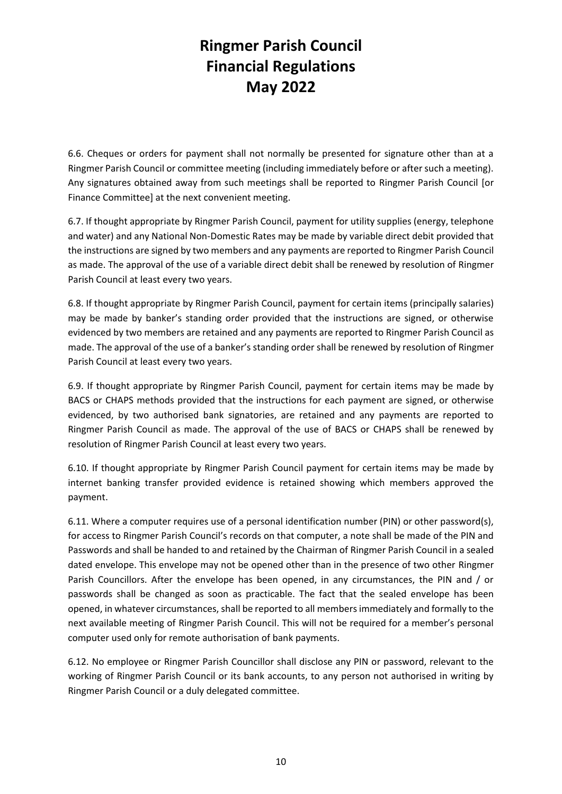6.6. Cheques or orders for payment shall not normally be presented for signature other than at a Ringmer Parish Council or committee meeting (including immediately before or after such a meeting). Any signatures obtained away from such meetings shall be reported to Ringmer Parish Council [or Finance Committee] at the next convenient meeting.

6.7. If thought appropriate by Ringmer Parish Council, payment for utility supplies (energy, telephone and water) and any National Non-Domestic Rates may be made by variable direct debit provided that the instructions are signed by two members and any payments are reported to Ringmer Parish Council as made. The approval of the use of a variable direct debit shall be renewed by resolution of Ringmer Parish Council at least every two years.

6.8. If thought appropriate by Ringmer Parish Council, payment for certain items (principally salaries) may be made by banker's standing order provided that the instructions are signed, or otherwise evidenced by two members are retained and any payments are reported to Ringmer Parish Council as made. The approval of the use of a banker's standing order shall be renewed by resolution of Ringmer Parish Council at least every two years.

6.9. If thought appropriate by Ringmer Parish Council, payment for certain items may be made by BACS or CHAPS methods provided that the instructions for each payment are signed, or otherwise evidenced, by two authorised bank signatories, are retained and any payments are reported to Ringmer Parish Council as made. The approval of the use of BACS or CHAPS shall be renewed by resolution of Ringmer Parish Council at least every two years.

6.10. If thought appropriate by Ringmer Parish Council payment for certain items may be made by internet banking transfer provided evidence is retained showing which members approved the payment.

6.11. Where a computer requires use of a personal identification number (PIN) or other password(s), for access to Ringmer Parish Council's records on that computer, a note shall be made of the PIN and Passwords and shall be handed to and retained by the Chairman of Ringmer Parish Council in a sealed dated envelope. This envelope may not be opened other than in the presence of two other Ringmer Parish Councillors. After the envelope has been opened, in any circumstances, the PIN and / or passwords shall be changed as soon as practicable. The fact that the sealed envelope has been opened, in whatever circumstances, shall be reported to all members immediately and formally to the next available meeting of Ringmer Parish Council. This will not be required for a member's personal computer used only for remote authorisation of bank payments.

6.12. No employee or Ringmer Parish Councillor shall disclose any PIN or password, relevant to the working of Ringmer Parish Council or its bank accounts, to any person not authorised in writing by Ringmer Parish Council or a duly delegated committee.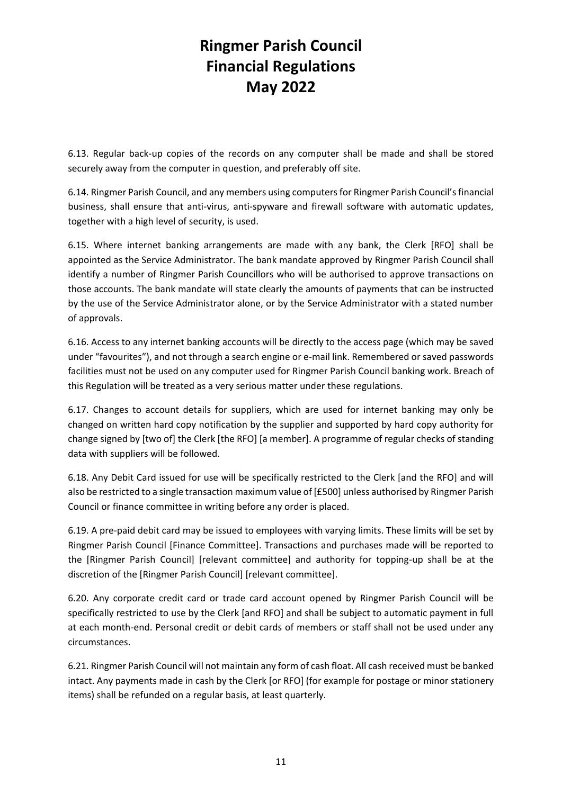6.13. Regular back-up copies of the records on any computer shall be made and shall be stored securely away from the computer in question, and preferably off site.

6.14. Ringmer Parish Council, and any members using computers for Ringmer Parish Council's financial business, shall ensure that anti-virus, anti-spyware and firewall software with automatic updates, together with a high level of security, is used.

6.15. Where internet banking arrangements are made with any bank, the Clerk [RFO] shall be appointed as the Service Administrator. The bank mandate approved by Ringmer Parish Council shall identify a number of Ringmer Parish Councillors who will be authorised to approve transactions on those accounts. The bank mandate will state clearly the amounts of payments that can be instructed by the use of the Service Administrator alone, or by the Service Administrator with a stated number of approvals.

6.16. Access to any internet banking accounts will be directly to the access page (which may be saved under "favourites"), and not through a search engine or e-mail link. Remembered or saved passwords facilities must not be used on any computer used for Ringmer Parish Council banking work. Breach of this Regulation will be treated as a very serious matter under these regulations.

6.17. Changes to account details for suppliers, which are used for internet banking may only be changed on written hard copy notification by the supplier and supported by hard copy authority for change signed by [two of] the Clerk [the RFO] [a member]. A programme of regular checks of standing data with suppliers will be followed.

6.18. Any Debit Card issued for use will be specifically restricted to the Clerk [and the RFO] and will also be restricted to a single transaction maximum value of [£500] unless authorised by Ringmer Parish Council or finance committee in writing before any order is placed.

6.19. A pre-paid debit card may be issued to employees with varying limits. These limits will be set by Ringmer Parish Council [Finance Committee]. Transactions and purchases made will be reported to the [Ringmer Parish Council] [relevant committee] and authority for topping-up shall be at the discretion of the [Ringmer Parish Council] [relevant committee].

6.20. Any corporate credit card or trade card account opened by Ringmer Parish Council will be specifically restricted to use by the Clerk [and RFO] and shall be subject to automatic payment in full at each month-end. Personal credit or debit cards of members or staff shall not be used under any circumstances.

6.21. Ringmer Parish Council will not maintain any form of cash float. All cash received must be banked intact. Any payments made in cash by the Clerk [or RFO] (for example for postage or minor stationery items) shall be refunded on a regular basis, at least quarterly.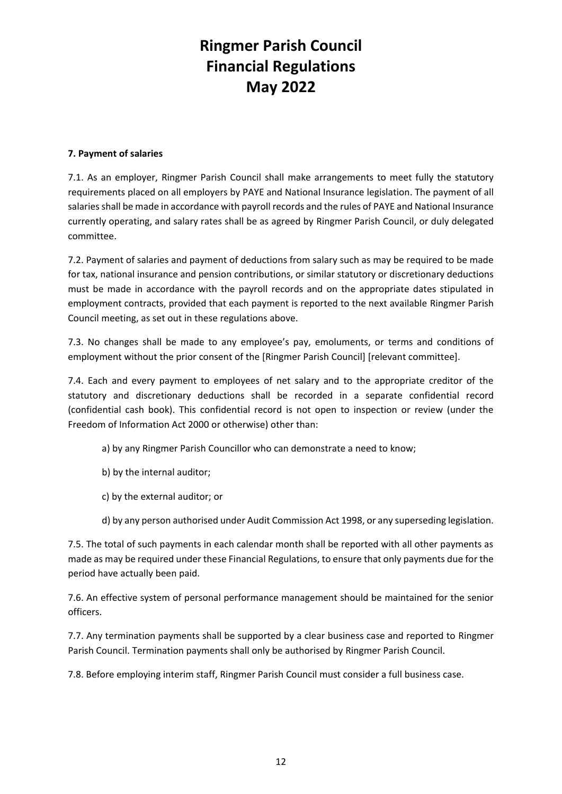#### **7. Payment of salaries**

7.1. As an employer, Ringmer Parish Council shall make arrangements to meet fully the statutory requirements placed on all employers by PAYE and National Insurance legislation. The payment of all salaries shall be made in accordance with payroll records and the rules of PAYE and National Insurance currently operating, and salary rates shall be as agreed by Ringmer Parish Council, or duly delegated committee.

7.2. Payment of salaries and payment of deductions from salary such as may be required to be made for tax, national insurance and pension contributions, or similar statutory or discretionary deductions must be made in accordance with the payroll records and on the appropriate dates stipulated in employment contracts, provided that each payment is reported to the next available Ringmer Parish Council meeting, as set out in these regulations above.

7.3. No changes shall be made to any employee's pay, emoluments, or terms and conditions of employment without the prior consent of the [Ringmer Parish Council] [relevant committee].

7.4. Each and every payment to employees of net salary and to the appropriate creditor of the statutory and discretionary deductions shall be recorded in a separate confidential record (confidential cash book). This confidential record is not open to inspection or review (under the Freedom of Information Act 2000 or otherwise) other than:

- a) by any Ringmer Parish Councillor who can demonstrate a need to know;
- b) by the internal auditor;
- c) by the external auditor; or
- d) by any person authorised under Audit Commission Act 1998, or any superseding legislation.

7.5. The total of such payments in each calendar month shall be reported with all other payments as made as may be required under these Financial Regulations, to ensure that only payments due for the period have actually been paid.

7.6. An effective system of personal performance management should be maintained for the senior officers.

7.7. Any termination payments shall be supported by a clear business case and reported to Ringmer Parish Council. Termination payments shall only be authorised by Ringmer Parish Council.

7.8. Before employing interim staff, Ringmer Parish Council must consider a full business case.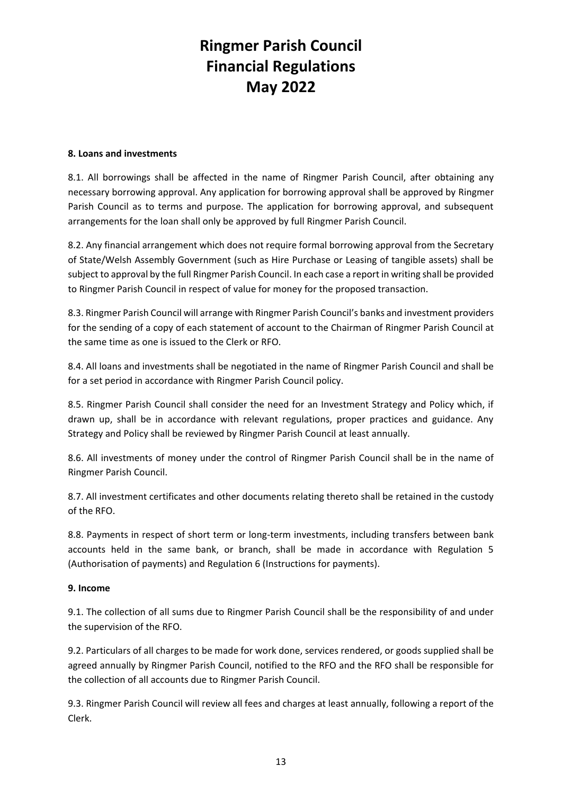#### **8. Loans and investments**

8.1. All borrowings shall be affected in the name of Ringmer Parish Council, after obtaining any necessary borrowing approval. Any application for borrowing approval shall be approved by Ringmer Parish Council as to terms and purpose. The application for borrowing approval, and subsequent arrangements for the loan shall only be approved by full Ringmer Parish Council.

8.2. Any financial arrangement which does not require formal borrowing approval from the Secretary of State/Welsh Assembly Government (such as Hire Purchase or Leasing of tangible assets) shall be subject to approval by the full Ringmer Parish Council. In each case a report in writing shall be provided to Ringmer Parish Council in respect of value for money for the proposed transaction.

8.3. Ringmer Parish Council will arrange with Ringmer Parish Council's banks and investment providers for the sending of a copy of each statement of account to the Chairman of Ringmer Parish Council at the same time as one is issued to the Clerk or RFO.

8.4. All loans and investments shall be negotiated in the name of Ringmer Parish Council and shall be for a set period in accordance with Ringmer Parish Council policy.

8.5. Ringmer Parish Council shall consider the need for an Investment Strategy and Policy which, if drawn up, shall be in accordance with relevant regulations, proper practices and guidance. Any Strategy and Policy shall be reviewed by Ringmer Parish Council at least annually.

8.6. All investments of money under the control of Ringmer Parish Council shall be in the name of Ringmer Parish Council.

8.7. All investment certificates and other documents relating thereto shall be retained in the custody of the RFO.

8.8. Payments in respect of short term or long-term investments, including transfers between bank accounts held in the same bank, or branch, shall be made in accordance with Regulation 5 (Authorisation of payments) and Regulation 6 (Instructions for payments).

#### **9. Income**

9.1. The collection of all sums due to Ringmer Parish Council shall be the responsibility of and under the supervision of the RFO.

9.2. Particulars of all charges to be made for work done, services rendered, or goods supplied shall be agreed annually by Ringmer Parish Council, notified to the RFO and the RFO shall be responsible for the collection of all accounts due to Ringmer Parish Council.

9.3. Ringmer Parish Council will review all fees and charges at least annually, following a report of the Clerk.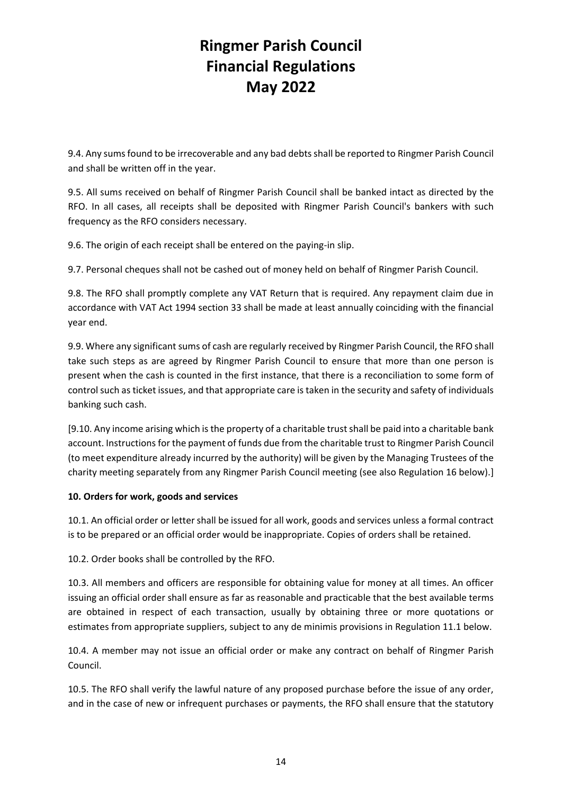9.4. Any sums found to be irrecoverable and any bad debts shall be reported to Ringmer Parish Council and shall be written off in the year.

9.5. All sums received on behalf of Ringmer Parish Council shall be banked intact as directed by the RFO. In all cases, all receipts shall be deposited with Ringmer Parish Council's bankers with such frequency as the RFO considers necessary.

9.6. The origin of each receipt shall be entered on the paying-in slip.

9.7. Personal cheques shall not be cashed out of money held on behalf of Ringmer Parish Council.

9.8. The RFO shall promptly complete any VAT Return that is required. Any repayment claim due in accordance with VAT Act 1994 section 33 shall be made at least annually coinciding with the financial year end.

9.9. Where any significant sums of cash are regularly received by Ringmer Parish Council, the RFO shall take such steps as are agreed by Ringmer Parish Council to ensure that more than one person is present when the cash is counted in the first instance, that there is a reconciliation to some form of control such as ticket issues, and that appropriate care is taken in the security and safety of individuals banking such cash.

[9.10. Any income arising which is the property of a charitable trust shall be paid into a charitable bank account. Instructions for the payment of funds due from the charitable trust to Ringmer Parish Council (to meet expenditure already incurred by the authority) will be given by the Managing Trustees of the charity meeting separately from any Ringmer Parish Council meeting (see also Regulation 16 below).]

#### **10. Orders for work, goods and services**

10.1. An official order or letter shall be issued for all work, goods and services unless a formal contract is to be prepared or an official order would be inappropriate. Copies of orders shall be retained.

10.2. Order books shall be controlled by the RFO.

10.3. All members and officers are responsible for obtaining value for money at all times. An officer issuing an official order shall ensure as far as reasonable and practicable that the best available terms are obtained in respect of each transaction, usually by obtaining three or more quotations or estimates from appropriate suppliers, subject to any de minimis provisions in Regulation 11.1 below.

10.4. A member may not issue an official order or make any contract on behalf of Ringmer Parish Council.

10.5. The RFO shall verify the lawful nature of any proposed purchase before the issue of any order, and in the case of new or infrequent purchases or payments, the RFO shall ensure that the statutory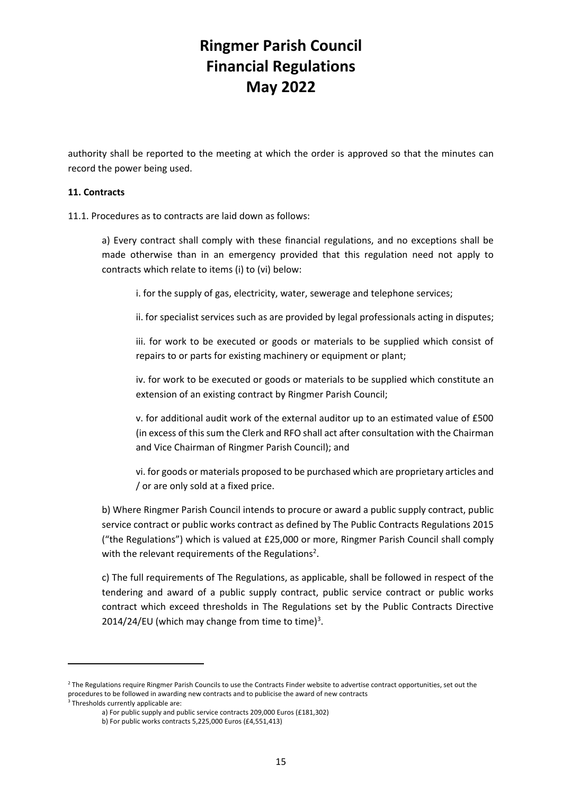authority shall be reported to the meeting at which the order is approved so that the minutes can record the power being used.

#### **11. Contracts**

11.1. Procedures as to contracts are laid down as follows:

a) Every contract shall comply with these financial regulations, and no exceptions shall be made otherwise than in an emergency provided that this regulation need not apply to contracts which relate to items (i) to (vi) below:

i. for the supply of gas, electricity, water, sewerage and telephone services;

ii. for specialist services such as are provided by legal professionals acting in disputes;

iii. for work to be executed or goods or materials to be supplied which consist of repairs to or parts for existing machinery or equipment or plant;

iv. for work to be executed or goods or materials to be supplied which constitute an extension of an existing contract by Ringmer Parish Council;

v. for additional audit work of the external auditor up to an estimated value of £500 (in excess of this sum the Clerk and RFO shall act after consultation with the Chairman and Vice Chairman of Ringmer Parish Council); and

vi. for goods or materials proposed to be purchased which are proprietary articles and / or are only sold at a fixed price.

b) Where Ringmer Parish Council intends to procure or award a public supply contract, public service contract or public works contract as defined by The Public Contracts Regulations 2015 ("the Regulations") which is valued at £25,000 or more, Ringmer Parish Council shall comply with the relevant requirements of the Regulations<sup>2</sup>.

c) The full requirements of The Regulations, as applicable, shall be followed in respect of the tendering and award of a public supply contract, public service contract or public works contract which exceed thresholds in The Regulations set by the Public Contracts Directive 2014/24/EU (which may change from time to time) $3$ .

<sup>&</sup>lt;sup>2</sup> The Regulations require Ringmer Parish Councils to use the Contracts Finder website to advertise contract opportunities, set out the procedures to be followed in awarding new contracts and to publicise the award of new contracts 3 Thresholds currently applicable are:

a) For public supply and public service contracts 209,000 Euros (£181,302)

b) For public works contracts 5,225,000 Euros (£4,551,413)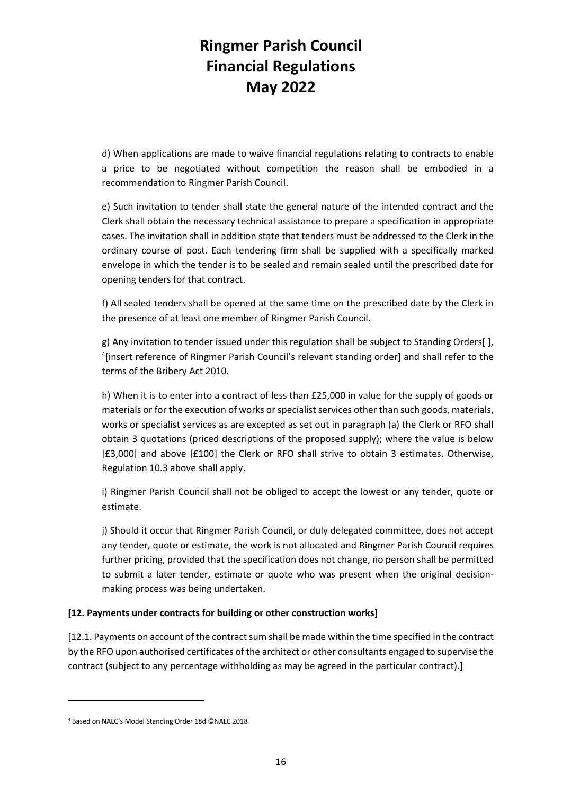d) When applications are made to waive financial regulations relating to contracts to enable a price to be negotiated without competition the reason shall be embodied in a recommendation to Ringmer Parish Council.

e) Such invitation to tender shall state the general nature of the intended contract and the Clerk shall obtain the necessary technical assistance to prepare a specification in appropriate cases. The invitation shall in addition state that tenders must be addressed to the Clerk in the ordinary course of post. Each tendering firm shall be supplied with a specifically marked envelope in which the tender is to be sealed and remain sealed until the prescribed date for opening tenders for that contract.

f) All sealed tenders shall be opened at the same time on the prescribed date by the Clerk in the presence of at least one member of Ringmer Parish Council.

g) Any invitation to tender issued under this regulation shall be subject to Standing Orders[ ], <sup>4</sup>[insert reference of Ringmer Parish Council's relevant standing order] and shall refer to the terms of the Bribery Act 2010.

h) When it is to enter into a contract of less than £25,000 in value for the supply of goods or materials or for the execution of works or specialist services other than such goods, materials, works or specialist services as are excepted as set out in paragraph (a) the Clerk or RFO shall obtain 3 quotations (priced descriptions of the proposed supply); where the value is below [£3,000] and above [£100] the Clerk or RFO shall strive to obtain 3 estimates. Otherwise, Regulation 10.3 above shall apply.

i) Ringmer Parish Council shall not be obliged to accept the lowest or any tender, quote or estimate.

j) Should it occur that Ringmer Parish Council, or duly delegated committee, does not accept any tender, quote or estimate, the work is not allocated and Ringmer Parish Council requires further pricing, provided that the specification does not change, no person shall be permitted to submit a later tender, estimate or quote who was present when the original decisionmaking process was being undertaken.

#### **[12. Payments under contracts for building or other construction works]**

[12.1. Payments on account of the contract sum shall be made within the time specified in the contract by the RFO upon authorised certificates of the architect or other consultants engaged to supervise the contract (subject to any percentage withholding as may be agreed in the particular contract).]

<sup>4</sup> Based on NALC's Model Standing Order 18d ©NALC 2018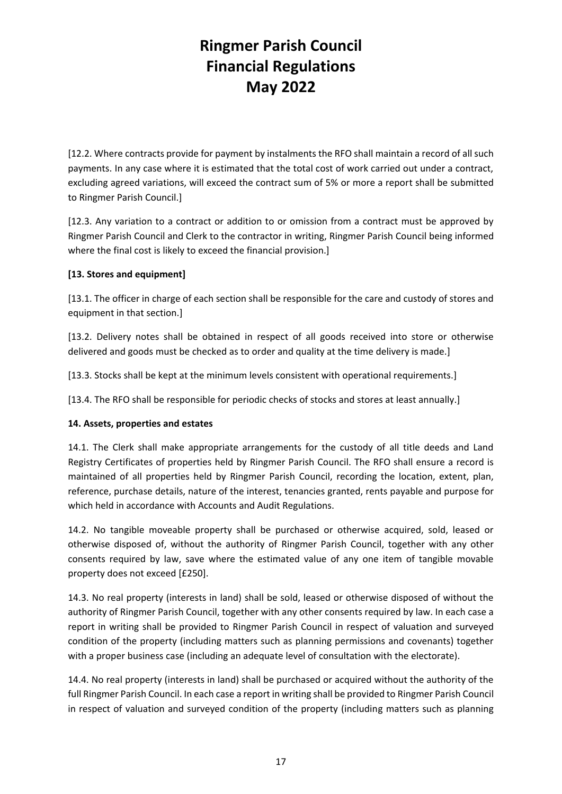[12.2. Where contracts provide for payment by instalments the RFO shall maintain a record of all such payments. In any case where it is estimated that the total cost of work carried out under a contract, excluding agreed variations, will exceed the contract sum of 5% or more a report shall be submitted to Ringmer Parish Council.]

[12.3. Any variation to a contract or addition to or omission from a contract must be approved by Ringmer Parish Council and Clerk to the contractor in writing, Ringmer Parish Council being informed where the final cost is likely to exceed the financial provision.]

#### **[13. Stores and equipment]**

[13.1. The officer in charge of each section shall be responsible for the care and custody of stores and equipment in that section.]

[13.2. Delivery notes shall be obtained in respect of all goods received into store or otherwise delivered and goods must be checked as to order and quality at the time delivery is made.]

[13.3. Stocks shall be kept at the minimum levels consistent with operational requirements.]

[13.4. The RFO shall be responsible for periodic checks of stocks and stores at least annually.]

#### **14. Assets, properties and estates**

14.1. The Clerk shall make appropriate arrangements for the custody of all title deeds and Land Registry Certificates of properties held by Ringmer Parish Council. The RFO shall ensure a record is maintained of all properties held by Ringmer Parish Council, recording the location, extent, plan, reference, purchase details, nature of the interest, tenancies granted, rents payable and purpose for which held in accordance with Accounts and Audit Regulations.

14.2. No tangible moveable property shall be purchased or otherwise acquired, sold, leased or otherwise disposed of, without the authority of Ringmer Parish Council, together with any other consents required by law, save where the estimated value of any one item of tangible movable property does not exceed [£250].

14.3. No real property (interests in land) shall be sold, leased or otherwise disposed of without the authority of Ringmer Parish Council, together with any other consents required by law. In each case a report in writing shall be provided to Ringmer Parish Council in respect of valuation and surveyed condition of the property (including matters such as planning permissions and covenants) together with a proper business case (including an adequate level of consultation with the electorate).

14.4. No real property (interests in land) shall be purchased or acquired without the authority of the full Ringmer Parish Council. In each case a report in writing shall be provided to Ringmer Parish Council in respect of valuation and surveyed condition of the property (including matters such as planning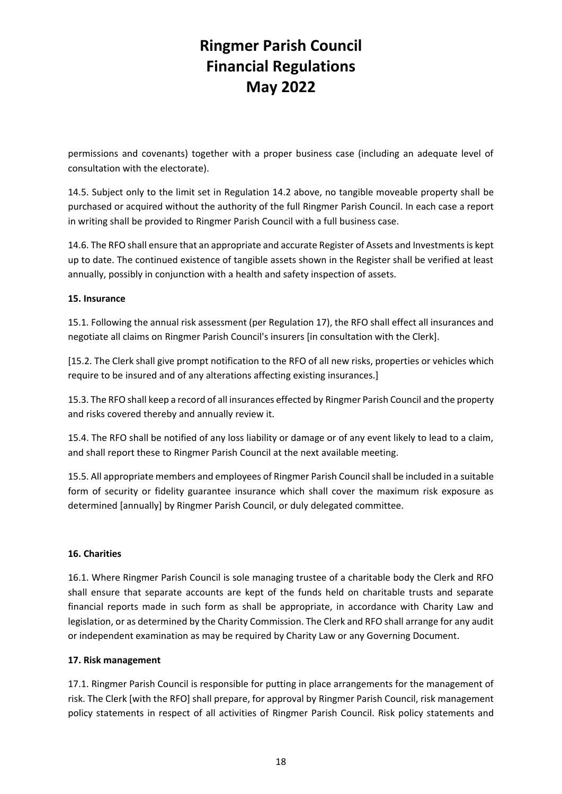permissions and covenants) together with a proper business case (including an adequate level of consultation with the electorate).

14.5. Subject only to the limit set in Regulation 14.2 above, no tangible moveable property shall be purchased or acquired without the authority of the full Ringmer Parish Council. In each case a report in writing shall be provided to Ringmer Parish Council with a full business case.

14.6. The RFO shall ensure that an appropriate and accurate Register of Assets and Investments is kept up to date. The continued existence of tangible assets shown in the Register shall be verified at least annually, possibly in conjunction with a health and safety inspection of assets.

#### **15. Insurance**

15.1. Following the annual risk assessment (per Regulation 17), the RFO shall effect all insurances and negotiate all claims on Ringmer Parish Council's insurers [in consultation with the Clerk].

[15.2. The Clerk shall give prompt notification to the RFO of all new risks, properties or vehicles which require to be insured and of any alterations affecting existing insurances.]

15.3. The RFO shall keep a record of all insurances effected by Ringmer Parish Council and the property and risks covered thereby and annually review it.

15.4. The RFO shall be notified of any loss liability or damage or of any event likely to lead to a claim, and shall report these to Ringmer Parish Council at the next available meeting.

15.5. All appropriate members and employees of Ringmer Parish Councilshall be included in a suitable form of security or fidelity guarantee insurance which shall cover the maximum risk exposure as determined [annually] by Ringmer Parish Council, or duly delegated committee.

#### **16. Charities**

16.1. Where Ringmer Parish Council is sole managing trustee of a charitable body the Clerk and RFO shall ensure that separate accounts are kept of the funds held on charitable trusts and separate financial reports made in such form as shall be appropriate, in accordance with Charity Law and legislation, or as determined by the Charity Commission. The Clerk and RFO shall arrange for any audit or independent examination as may be required by Charity Law or any Governing Document.

#### **17. Risk management**

17.1. Ringmer Parish Council is responsible for putting in place arrangements for the management of risk. The Clerk [with the RFO] shall prepare, for approval by Ringmer Parish Council, risk management policy statements in respect of all activities of Ringmer Parish Council. Risk policy statements and